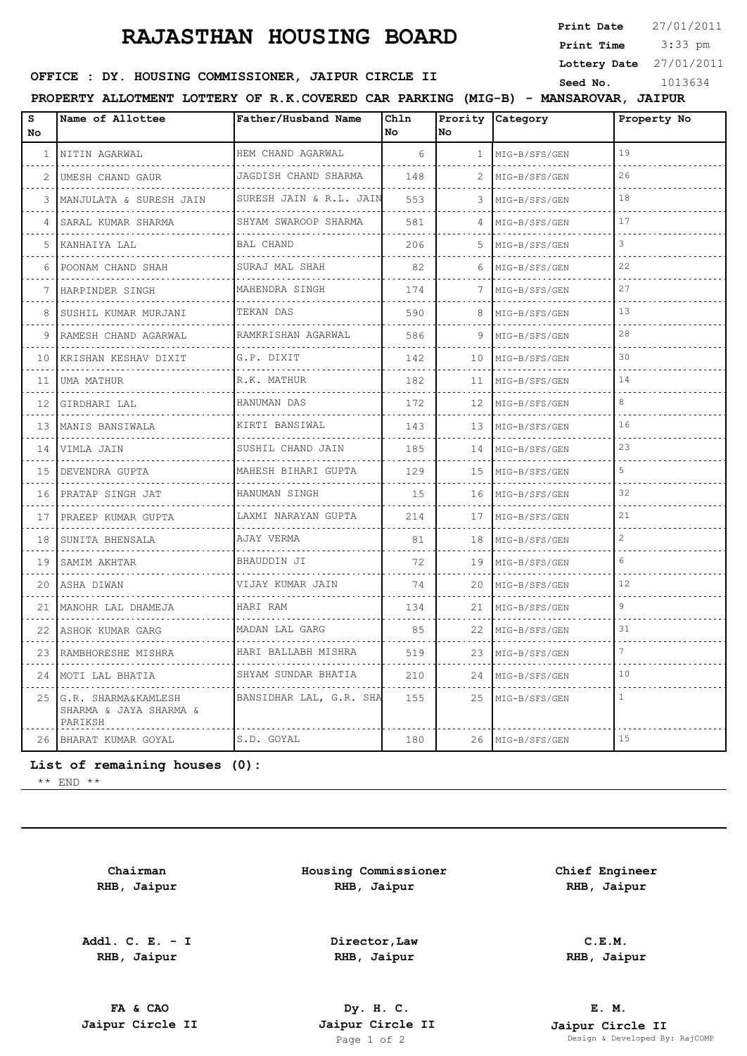## **RAJASTHAN HOUSING BOARD**

 3:33 pm **Print Date**  $27/01/2011$ **Print Time Lottery Date** 27/01/2011

## **SEED : DY. HOUSING COMMISSIONER, JAIPUR CIRCLE II** Seed No. 1013634

**PROPERTY ALLOTMENT LOTTERY OF R.K.COVERED CAR PARKING (MIG-B) - MANSAROVAR, JAIPUR**

| s<br>No                    | Name of Allottee                                         | Father/Husband Name     | Chln<br>No        | Prority<br>No. | Category           | Property No |
|----------------------------|----------------------------------------------------------|-------------------------|-------------------|----------------|--------------------|-------------|
|                            | 1   NITIN AGARWAL                                        | HEM CHAND AGARWAL       | 6                 | $\mathbf{1}$   | MIG-B/SFS/GEN      | 19          |
| 2                          | UMESH CHAND GAUR                                         | JAGDISH CHAND SHARMA    | 148               |                | .<br>MIG-B/SFS/GEN | 26          |
| 3                          | MANJULATA & SURESH JAIN                                  | SURESH JAIN & R.L. JAIN | 553               | 3              | MIG-B/SFS/GEN      | 18          |
| 4                          | SARAL KUMAR SHARMA                                       | SHYAM SWAROOP SHARMA    | 581               |                | MIG-B/SFS/GEN<br>. | 17          |
| 5.<br>$\sim$               | KANHAIYA LAL                                             | BAL CHAND               | 206               | 5              | MIG-B/SFS/GEN<br>. | 3           |
| 6                          | POONAM CHAND SHAH                                        | SURAJ MAL SHAH          | 82                | 6              | MIG-B/SFS/GEN<br>. | 22          |
|                            | HARPINDER SINGH                                          | MAHENDRA SINGH          | 174               |                | MIG-B/SFS/GEN      | 27          |
| 8                          | ISUSHIL KUMAR MURJANI                                    | TEKAN DAS               | 590               | 8              | MIG-B/SFS/GEN      | 13          |
| 9                          | RAMESH CHAND AGARWAL                                     | RAMKRISHAN AGARWAL      | 586               | 9.             | MIG-B/SFS/GEN      | 28          |
| 10                         | KRISHAN KESHAV DIXIT                                     | G.P. DIXIT              | 142<br>.          | 10             | MIG-B/SFS/GEN      | 30          |
| 11                         | UMA MATHUR                                               | R.K. MATHUR             | 182               | 11             | MIG-B/SFS/GEN      | 14          |
| 12                         | GIRDHARI LAL                                             | HANUMAN DAS             | 172<br>.          | 12<br>.        | MIG-B/SFS/GEN      | 8           |
| 13<br>$\sim$ $\sim$ $\sim$ | MANIS BANSIWALA                                          | KIRTI BANSIWAL          | 143               | 13             | MIG-B/SFS/GEN<br>. | 16          |
|                            | 14   VIMLA JAIN                                          | SUSHIL CHAND JAIN       | 185<br>.          | 14             | MIG-B/SFS/GEN<br>. | 23          |
|                            | 15 DEVENDRA GUPTA<br><u>.</u>                            | MAHESH BIHARI GUPTA     | 129               | 15             | MIG-B/SFS/GEN      | 5           |
| 16                         | PRATAP SINGH JAT                                         | HANUMAN SINGH           | 15                | 16             | MIG-B/SFS/GEN      | 32          |
|                            | 17 PRAEEP KUMAR GUPTA                                    | LAXMI NARAYAN GUPTA     | 214               | 17             | MIG-B/SFS/GEN      | 21          |
| 18                         | SUNITA BHENSALA                                          | AJAY VERMA              | 81                | 18             | MIG-B/SFS/GEN<br>. | 2           |
| 19                         | SAMIM AKHTAR                                             | BHAUDDIN JI             | 72                | 19             | MIG-B/SFS/GEN      | 6           |
| .                          | 20   ASHA DIWAN                                          | VIJAY KUMAR JAIN        | 74<br>and a state | 20<br>.        | MIG-B/SFS/GEN<br>. | 12          |
| $\sim$ $\sim$              | 21   MANOHR LAL DHAMEJA                                  | HARI RAM<br>.           | 134               | 21             | MIG-B/SFS/GEN<br>. | 9           |
| 22                         | ASHOK KUMAR GARG                                         | MADAN LAL GARG          | 85<br>$- - - - -$ | 22<br>-----    | MIG-B/SFS/GEN      | 31          |
| 23                         | RAMBHORESHE MISHRA                                       | HARI BALLABH MISHRA     | 519               | 23             | MIG-B/SFS/GEN      |             |
|                            | 24   MOTI LAL BHATIA                                     | SHYAM SUNDAR BHATIA     | 210               | 24             | MIG-B/SFS/GEN      | 10          |
| 25                         | G.R. SHARMA&KAMLESH<br>SHARMA & JAYA SHARMA &<br>PARIKSH | BANSIDHAR LAL, G.R. SHA | 155               | 25             | MIG-B/SFS/GEN      | -1.         |
|                            | 26 BHARAT KUMAR GOYAL                                    | S.D. GOYAL              | 180               |                | 26   MIG-B/SFS/GEN | 15          |

**List of remaining houses (0):** 

 $***$  END  $***$ 

**Chairman RHB, Jaipur**

**Addl. C. E. - I RHB, Jaipur**

**Housing Commissioner RHB, Jaipur**

**Chief Engineer RHB, Jaipur**

**Director,Law RHB, Jaipur**

**FA & CAO Dy. H. C.**

**C.E.M. RHB, Jaipur**

**E. M. Jaipur Circle II Jaipur Circle II Jaipur Circle II Jaipur Circle II Jaipur Circle II Page 1 of 2 Design & Developed By** Page 1 Developed By: RajCOMP